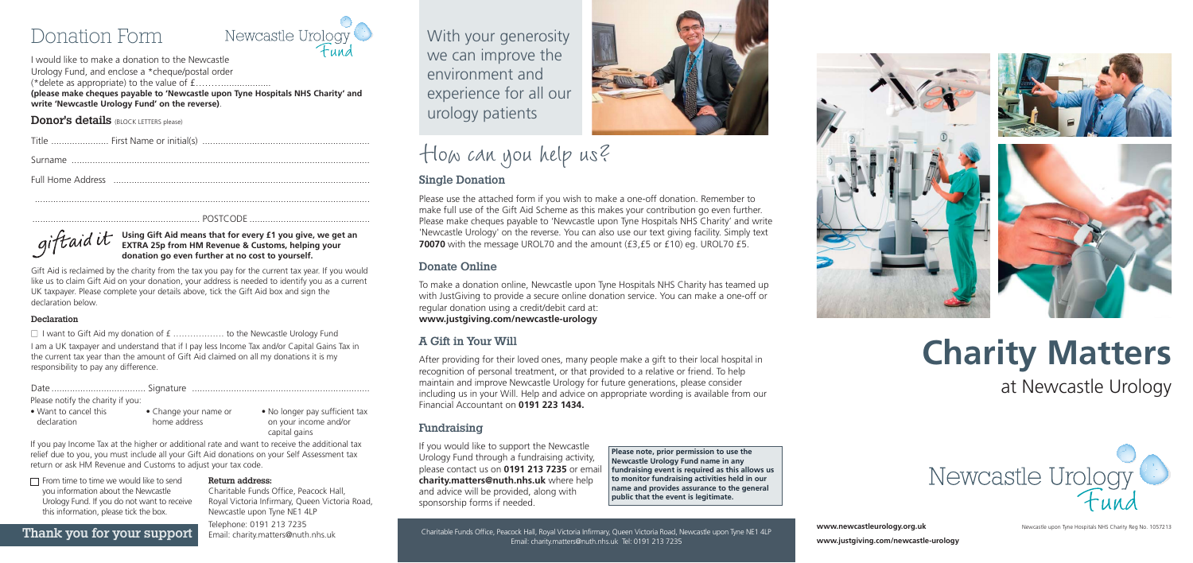

Please use the attached form if you wish to make a one-off donation. Remember to make full use of the Gift Aid Scheme as this makes your contribution go even further. Please make cheques payable to 'Newcastle upon Tyne Hospitals NHS Charity' and write 'Newcastle Urology' on the reverse. You can also use our text giving facility. Simply text **70070** with the message UROL70 and the amount (£3,£5 or £10) eg. UROL70 £5.

### Single Donation

#### Donate Online

To make a donation online, Newcastle upon Tyne Hospitals NHS Charity has teamed up with JustGiving to provide a secure online donation service. You can make a one-off or regular donation using a credit/debit card at: **www.justgiving.com/newcastle-urology**

### A Gift in Your Will

After providing for their loved ones, many people make a gift to their local hospital in recognition of personal treatment, or that provided to a relative or friend. To help maintain and improve Newcastle Urology for future generations, please consider including us in your Will. Help and advice on appropriate wording is available from our Financial Accountant on **0191 223 1434.**

#### Fundraising

If you would like to support the Newcastle Urology Fund through a fundraising activity, please contact us on **0191 213 7235** or email **charity.matters@nuth.nhs.uk** where help and advice will be provided, along with sponsorship forms if needed.

# Donation Form



I would like to make a donation to the Newcastle Urology Fund, and enclose a \*cheque/postal order (\*delete as appropriate) to the value of  $f$ ...... **(please make cheques payable to 'Newcastle upon Tyne Hospitals NHS Charity' and write 'Newcastle Urology Fund' on the reverse)**.

#### **Donor's details** (BLOCK LETTERS please)

| Surname |  |  |
|---------|--|--|

 $\Box$  From time to time we would like to send you information about the Newcastle Urology Fund. If you do not want to receive this information, please tick the box.

Full Home Address ..................................................................................................

................................................................................................................................

................................................................ POSTCODE ..............................................

**Using Gift Aid means that for every £1 you give, we get an EXTRA 25p from HM Revenue & Customs, helping your donation go even further at no cost to yourself.**

Gift Aid is reclaimed by the charity from the tax you pay for the current tax year. If you would like us to claim Gift Aid on your donation, your address is needed to identify you as a current UK taxpayer. Please complete your details above, tick the Gift Aid box and sign the declaration below.

#### Declaration

 $\Box$  I want to Gift Aid my donation of  $f$  .................... to the Newcastle Urology Fund

I am a UK taxpayer and understand that if I pay less Income Tax and/or Capital Gains Tax in the current tax year than the amount of Gift Aid claimed on all my donations it is my responsibility to pay any difference.

Date .................................... Signature ....................................................................

**www.justgiving.com/newcastle-urology**







# **Charity Matters**  at Newcastle Urology



**www.newcastleurology.org.uk** Newcastle upon Tyne Hospitals NHS Charity Reg No. 1057213

Please notify the charity if you:

If you pay Income Tax at the higher or additional rate and want to receive the additional tax relief due to you, you must include all your Gift Aid donations on your Self Assessment tax return or ask HM Revenue and Customs to adjust your tax code.

#### Return address:

Charitable Funds Office, Peacock Hall, Royal Victoria Infirmary, Queen Victoria Road, Newcastle upon Tyne NE1 4LP Telephone: 0191 213 7235 Email: charity.matters@nuth.nhs.uk

• Want to cancel this declaration

• Change your name or home address

• No longer pay sufficient tax on your income and/or capital gains

> **Please note, prior permission to use the Newcastle Urology Fund namein any fundraising event is required as this allows us to monitor fundraising activities held in our name and provides assurance to the general public that the event is legitimate.**

Thank you for your support Email: charity.matters@nuth.nhs.uk<br>Charitable Funds Office, Peacock Hall, Royal Victoria Infirmary, Queen Victoria Road, Newcastle upon Tyne NE1 4LP Charitable Funds Office, Royal Victoria Infirmation Infinite upon Tyne, Newcastle upon Tyne, Newcastle upon Ty

With your generosity we can improve the environment and experience for all our urology patients